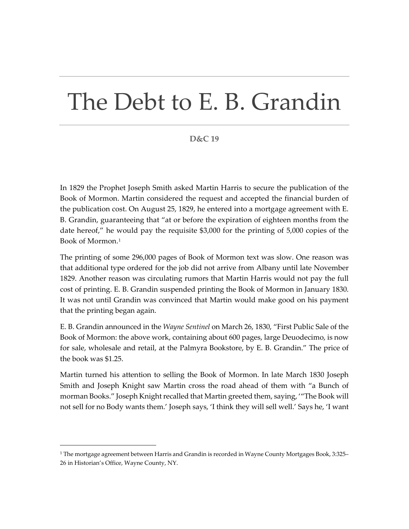## The Debt to E. B. Grandin

## **D&C 19**

In 1829 the Prophet Joseph Smith asked Martin Harris to secure the publication of the Book of Mormon. Martin considered the request and accepted the financial burden of the publication cost. On August 25, 1829, he entered into a mortgage agreement with E. B. Grandin, guaranteeing that "at or before the expiration of eighteen months from the date hereof," he would pay the requisite \$3,000 for the printing of 5,000 copies of the Book of Mormon.[1](#page-0-0)

The printing of some 296,000 pages of Book of Mormon text was slow. One reason was that additional type ordered for the job did not arrive from Albany until late November 1829. Another reason was circulating rumors that Martin Harris would not pay the full cost of printing. E. B. Grandin suspended printing the Book of Mormon in January 1830. It was not until Grandin was convinced that Martin would make good on his payment that the printing began again.

E. B. Grandin announced in the *Wayne Sentinel* on March 26, 1830, "First Public Sale of the Book of Mormon: the above work, containing about 600 pages, large Deuodecimo, is now for sale, wholesale and retail, at the Palmyra Bookstore, by E. B. Grandin." The price of the book was \$1.25.

Martin turned his attention to selling the Book of Mormon. In late March 1830 Joseph Smith and Joseph Knight saw Martin cross the road ahead of them with "a Bunch of morman Books." Joseph Knight recalled that Martin greeted them, saying, '"The Book will not sell for no Body wants them.' Joseph says, 'I think they will sell well.' Says he, 'I want

<span id="page-0-0"></span> $1$  The mortgage agreement between Harris and Grandin is recorded in Wayne County Mortgages Book, 3:325– 26 in Historian's Office, Wayne County, NY.